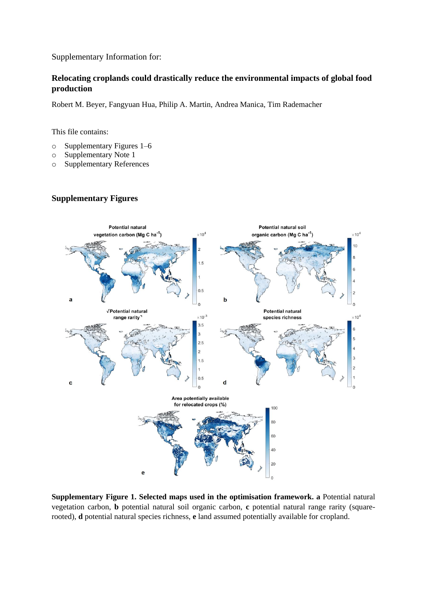Supplementary Information for:

## **Relocating croplands could drastically reduce the environmental impacts of global food production**

Robert M. Beyer, Fangyuan Hua, Philip A. Martin, Andrea Manica, Tim Rademacher

This file contains:

- o Supplementary Figures 1–6
- o Supplementary Note 1
- o Supplementary References

## **Supplementary Figures**



**Supplementary Figure 1. Selected maps used in the optimisation framework. a** Potential natural vegetation carbon, **b** potential natural soil organic carbon, **c** potential natural range rarity (squarerooted), **d** potential natural species richness, **e** land assumed potentially available for cropland.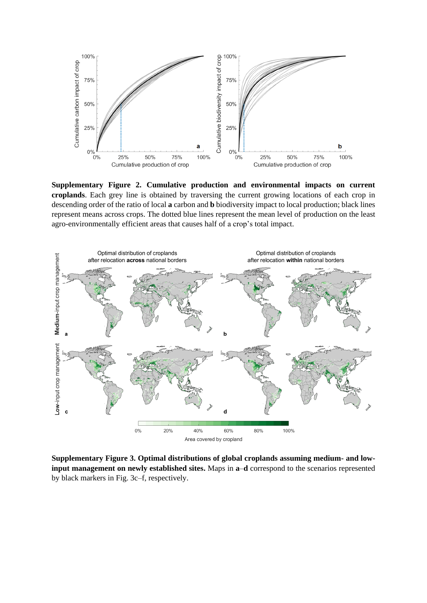

**Supplementary Figure 2. Cumulative production and environmental impacts on current croplands**. Each grey line is obtained by traversing the current growing locations of each crop in descending order of the ratio of local **a** carbon and **b** biodiversity impact to local production; black lines represent means across crops. The dotted blue lines represent the mean level of production on the least agro-environmentally efficient areas that causes half of a crop's total impact.



**Supplementary Figure 3. Optimal distributions of global croplands assuming medium- and lowinput management on newly established sites.** Maps in **a**–**d** correspond to the scenarios represented by black markers in Fig. 3c–f, respectively.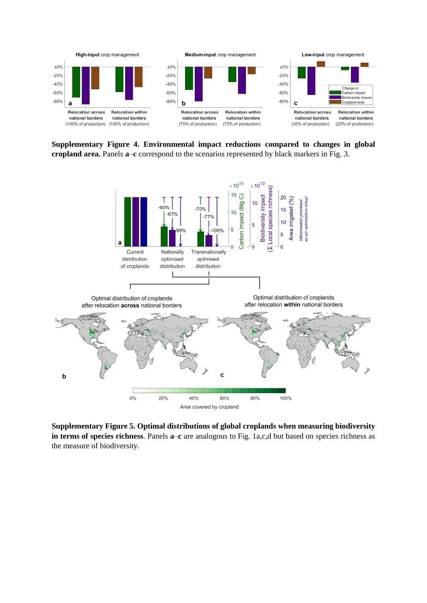

**Supplementary Figure 4. Environmental impact reductions compared to changes in global cropland area.** Panels **a**–**c** correspond to the scenarios represented by black markers in Fig. 3.



**Supplementary Figure 5. Optimal distributions of global croplands when measuring biodiversity in terms of species richness**. Panels **a**–**c** are analogous to Fig. 1a,c,d but based on species richness as the measure of biodiversity.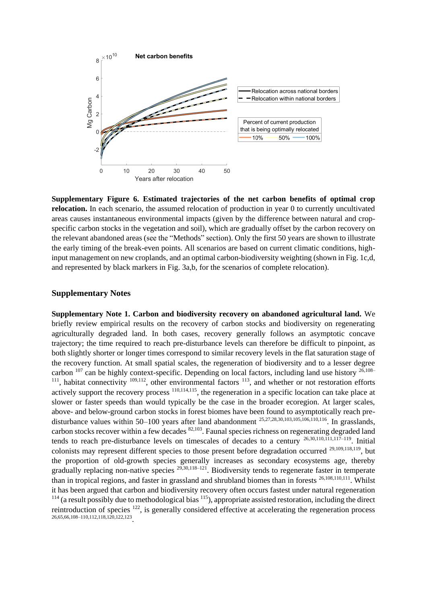

**Supplementary Figure 6. Estimated trajectories of the net carbon benefits of optimal crop relocation.** In each scenario, the assumed relocation of production in year 0 to currently uncultivated areas causes instantaneous environmental impacts (given by the difference between natural and cropspecific carbon stocks in the vegetation and soil), which are gradually offset by the carbon recovery on the relevant abandoned areas (see the "Methods" section). Only the first 50 years are shown to illustrate the early timing of the break-even points. All scenarios are based on current climatic conditions, highinput management on new croplands, and an optimal carbon-biodiversity weighting (shown in Fig. 1c,d, and represented by black markers in Fig. 3a,b, for the scenarios of complete relocation).

## **Supplementary Notes**

**Supplementary Note 1. Carbon and biodiversity recovery on abandoned agricultural land.** We briefly review empirical results on the recovery of carbon stocks and biodiversity on regenerating agriculturally degraded land. In both cases, recovery generally follows an asymptotic concave trajectory; the time required to reach pre-disturbance levels can therefore be difficult to pinpoint, as both slightly shorter or longer times correspond to similar recovery levels in the flat saturation stage of the recovery function. At small spatial scales, the regeneration of biodiversity and to a lesser degree carbon  $^{107}$  can be highly context-specific. Depending on local factors, including land use history  $^{26,108-}$ <sup>111</sup>, habitat connectivity  $109,112$ , other environmental factors  $113$ , and whether or not restoration efforts actively support the recovery process 110,114,115, the regeneration in a specific location can take place at slower or faster speeds than would typically be the case in the broader ecoregion. At larger scales, above- and below-ground carbon stocks in forest biomes have been found to asymptotically reach predisturbance values within 50–100 years after land abandonment <sup>25,27,28,30,103,105,106,110,116</sup>. In grasslands, carbon stocks recover within a few decades 82,103. Faunal species richness on regenerating degraded land tends to reach pre-disturbance levels on timescales of decades to a century 26,30,110,111,117–119. Initial colonists may represent different species to those present before degradation occurred 29,109,118,119, but the proportion of old-growth species generally increases as secondary ecosystems age, thereby gradually replacing non-native species 29,30,118–121. Biodiversity tends to regenerate faster in temperate than in tropical regions, and faster in grassland and shrubland biomes than in forests <sup>26,108,110,111</sup>. Whilst it has been argued that carbon and biodiversity recovery often occurs fastest under natural regeneration  $114$  (a result possibly due to methodological bias  $115$ ), appropriate assisted restoration, including the direct reintroduction of species <sup>122</sup>, is generally considered effective at accelerating the regeneration process 26,65,66,108–110,112,118,120,122,123 .